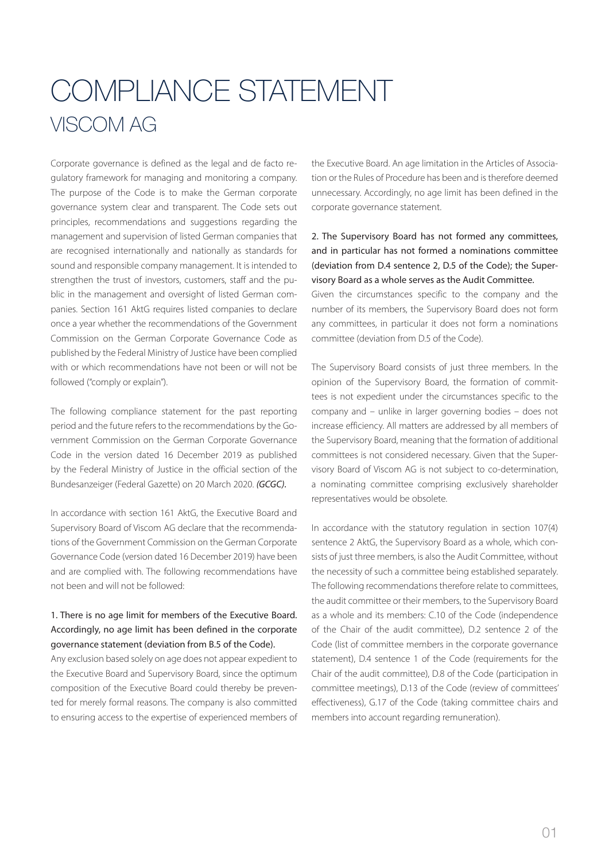# COMPLIANCE STATEMENT VISCOM AG

Corporate governance is defined as the legal and de facto regulatory framework for managing and monitoring a company. The purpose of the Code is to make the German corporate governance system clear and transparent. The Code sets out principles, recommendations and suggestions regarding the management and supervision of listed German companies that are recognised internationally and nationally as standards for sound and responsible company management. It is intended to strengthen the trust of investors, customers, staff and the public in the management and oversight of listed German companies. Section 161 AktG requires listed companies to declare once a year whether the recommendations of the Government Commission on the German Corporate Governance Code as published by the Federal Ministry of Justice have been complied with or which recommendations have not been or will not be followed ("comply or explain").

The following compliance statement for the past reporting period and the future refers to the recommendations by the Government Commission on the German Corporate Governance Code in the version dated 16 December 2019 as published by the Federal Ministry of Justice in the official section of the Bundesanzeiger (Federal Gazette) on 20 March 2020. *(GCGC).*

In accordance with section 161 AktG, the Executive Board and Supervisory Board of Viscom AG declare that the recommendations of the Government Commission on the German Corporate Governance Code (version dated 16 December 2019) have been and are complied with. The following recommendations have not been and will not be followed:

#### 1. There is no age limit for members of the Executive Board. Accordingly, no age limit has been defined in the corporate governance statement (deviation from B.5 of the Code).

Any exclusion based solely on age does not appear expedient to the Executive Board and Supervisory Board, since the optimum composition of the Executive Board could thereby be prevented for merely formal reasons. The company is also committed to ensuring access to the expertise of experienced members of the Executive Board. An age limitation in the Articles of Association or the Rules of Procedure has been and is therefore deemed unnecessary. Accordingly, no age limit has been defined in the corporate governance statement.

### 2. The Supervisory Board has not formed any committees, and in particular has not formed a nominations committee (deviation from D.4 sentence 2, D.5 of the Code); the Supervisory Board as a whole serves as the Audit Committee.

Given the circumstances specific to the company and the number of its members, the Supervisory Board does not form any committees, in particular it does not form a nominations committee (deviation from D.5 of the Code).

The Supervisory Board consists of just three members. In the opinion of the Supervisory Board, the formation of committees is not expedient under the circumstances specific to the company and – unlike in larger governing bodies – does not increase efficiency. All matters are addressed by all members of the Supervisory Board, meaning that the formation of additional committees is not considered necessary. Given that the Supervisory Board of Viscom AG is not subject to co-determination, a nominating committee comprising exclusively shareholder representatives would be obsolete.

In accordance with the statutory regulation in section 107(4) sentence 2 AktG, the Supervisory Board as a whole, which consists of just three members, is also the Audit Committee, without the necessity of such a committee being established separately. The following recommendations therefore relate to committees, the audit committee or their members, to the Supervisory Board as a whole and its members: C.10 of the Code (independence of the Chair of the audit committee), D.2 sentence 2 of the Code (list of committee members in the corporate governance statement), D.4 sentence 1 of the Code (requirements for the Chair of the audit committee), D.8 of the Code (participation in committee meetings), D.13 of the Code (review of committees' effectiveness), G.17 of the Code (taking committee chairs and members into account regarding remuneration).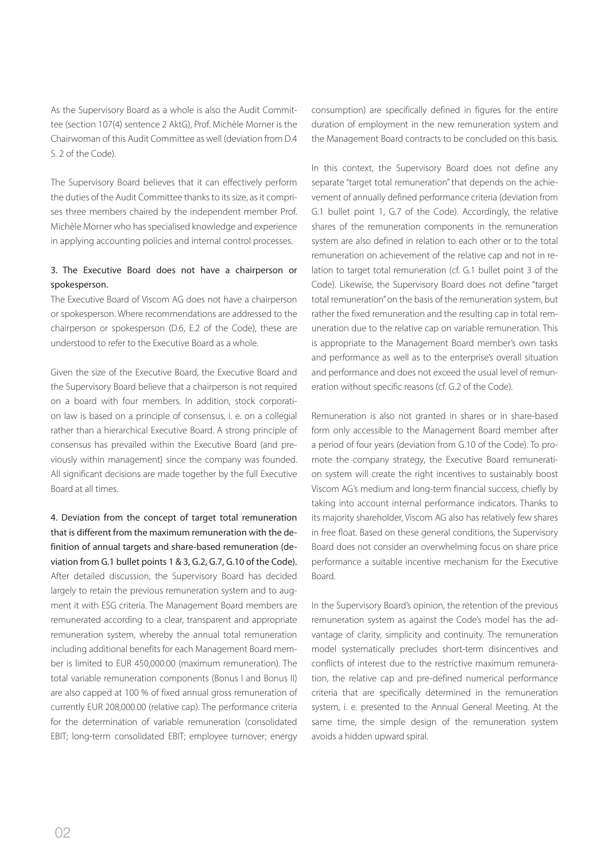As the Supervisory Board as a whole is also the Audit Committee (section 107(4) sentence 2 AktG), Prof. Michèle Morner is the Chairwoman of this Audit Committee as well (deviation from D.4 S. 2 of the Code).

The Supervisory Board believes that it can effectively perform the duties of the Audit Committee thanks to its size, as it comprises three members chaired by the independent member Prof. Michèle Morner who has specialised knowledge and experience in applying accounting policies and internal control processes.

#### 3. The Executive Board does not have a chairperson or spokesperson.

The Executive Board of Viscom AG does not have a chairperson or spokesperson. Where recommendations are addressed to the chairperson or spokesperson (D.6, E.2 of the Code), these are understood to refer to the Executive Board as a whole.

Given the size of the Executive Board, the Executive Board and the Supervisory Board believe that a chairperson is not required on a board with four members. In addition, stock corporation law is based on a principle of consensus, i. e. on a collegial rather than a hierarchical Executive Board. A strong principle of consensus has prevailed within the Executive Board (and previously within management) since the company was founded. All significant decisions are made together by the full Executive Board at all times.

4. Deviation from the concept of target total remuneration that is different from the maximum remuneration with the definition of annual targets and share-based remuneration (deviation from G.1 bullet points 1 & 3, G.2, G.7, G.10 of the Code). After detailed discussion, the Supervisory Board has decided largely to retain the previous remuneration system and to augment it with ESG criteria. The Management Board members are remunerated according to a clear, transparent and appropriate remuneration system, whereby the annual total remuneration including additional benefits for each Management Board member is limited to EUR 450,000.00 (maximum remuneration). The total variable remuneration components (Bonus I and Bonus II) are also capped at 100 % of fixed annual gross remuneration of currently EUR 208,000.00 (relative cap). The performance criteria for the determination of variable remuneration (consolidated EBIT; long-term consolidated EBIT; employee turnover; energy

consumption) are specifically defined in figures for the entire duration of employment in the new remuneration system and the Management Board contracts to be concluded on this basis.

In this context, the Supervisory Board does not define any separate "target total remuneration" that depends on the achievement of annually defined performance criteria (deviation from G.1 bullet point 1, G.7 of the Code). Accordingly, the relative shares of the remuneration components in the remuneration system are also defined in relation to each other or to the total remuneration on achievement of the relative cap and not in relation to target total remuneration (cf. G.1 bullet point 3 of the Code). Likewise, the Supervisory Board does not define "target total remuneration" on the basis of the remuneration system, but rather the fixed remuneration and the resulting cap in total remuneration due to the relative cap on variable remuneration. This is appropriate to the Management Board member's own tasks and performance as well as to the enterprise's overall situation and performance and does not exceed the usual level of remuneration without specific reasons (cf. G.2 of the Code).

Remuneration is also not granted in shares or in share-based form only accessible to the Management Board member after a period of four years (deviation from G.10 of the Code). To promote the company strategy, the Executive Board remuneration system will create the right incentives to sustainably boost Viscom AG's medium and long-term financial success, chiefly by taking into account internal performance indicators. Thanks to its majority shareholder, Viscom AG also has relatively few shares in free float. Based on these general conditions, the Supervisory Board does not consider an overwhelming focus on share price performance a suitable incentive mechanism for the Executive Board.

In the Supervisory Board's opinion, the retention of the previous remuneration system as against the Code's model has the advantage of clarity, simplicity and continuity. The remuneration model systematically precludes short-term disincentives and conflicts of interest due to the restrictive maximum remuneration, the relative cap and pre-defined numerical performance criteria that are specifically determined in the remuneration system, i. e. presented to the Annual General Meeting. At the same time, the simple design of the remuneration system avoids a hidden upward spiral.